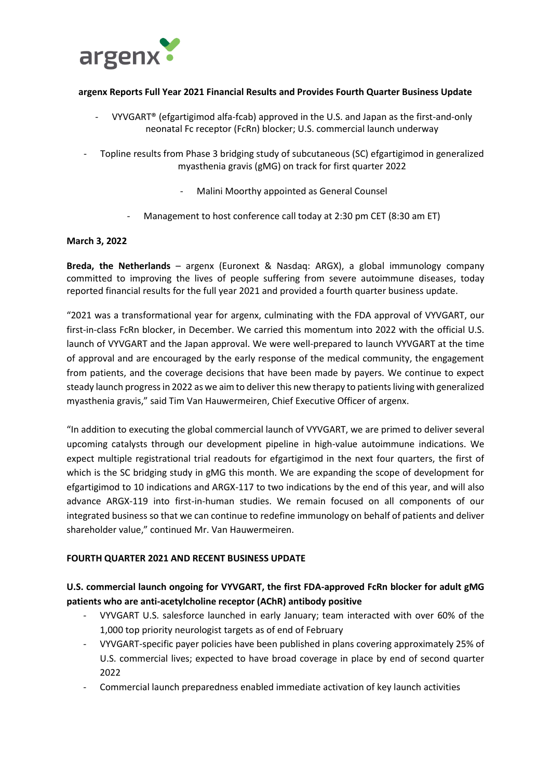

### **argenx Reports Full Year 2021 Financial Results and Provides Fourth Quarter Business Update**

- VYVGART® (efgartigimod alfa-fcab) approved in the U.S. and Japan as the first-and-only neonatal Fc receptor (FcRn) blocker; U.S. commercial launch underway
- Topline results from Phase 3 bridging study of subcutaneous (SC) efgartigimod in generalized myasthenia gravis (gMG) on track for first quarter 2022
	- Malini Moorthy appointed as General Counsel
	- Management to host conference call today at 2:30 pm CET (8:30 am ET)

### **March 3, 2022**

**Breda, the Netherlands** – argenx (Euronext & Nasdaq: ARGX), a global immunology company committed to improving the lives of people suffering from severe autoimmune diseases, today reported financial results for the full year 2021 and provided a fourth quarter business update.

"2021 was a transformational year for argenx, culminating with the FDA approval of VYVGART, our first-in-class FcRn blocker, in December. We carried this momentum into 2022 with the official U.S. launch of VYVGART and the Japan approval. We were well-prepared to launch VYVGART at the time of approval and are encouraged by the early response of the medical community, the engagement from patients, and the coverage decisions that have been made by payers. We continue to expect steady launch progressin 2022 as we aim to deliver this new therapy to patients living with generalized myasthenia gravis," said Tim Van Hauwermeiren, Chief Executive Officer of argenx.

"In addition to executing the global commercial launch of VYVGART, we are primed to deliver several upcoming catalysts through our development pipeline in high-value autoimmune indications. We expect multiple registrational trial readouts for efgartigimod in the next four quarters, the first of which is the SC bridging study in gMG this month. We are expanding the scope of development for efgartigimod to 10 indications and ARGX-117 to two indications by the end of this year, and will also advance ARGX-119 into first-in-human studies. We remain focused on all components of our integrated business so that we can continue to redefine immunology on behalf of patients and deliver shareholder value," continued Mr. Van Hauwermeiren.

### **FOURTH QUARTER 2021 AND RECENT BUSINESS UPDATE**

## **U.S. commercial launch ongoing for VYVGART, the first FDA-approved FcRn blocker for adult gMG patients who are anti-acetylcholine receptor (AChR) antibody positive**

- VYVGART U.S. salesforce launched in early January; team interacted with over 60% of the 1,000 top priority neurologist targets as of end of February
- VYVGART-specific payer policies have been published in plans covering approximately 25% of U.S. commercial lives; expected to have broad coverage in place by end of second quarter 2022
- Commercial launch preparedness enabled immediate activation of key launch activities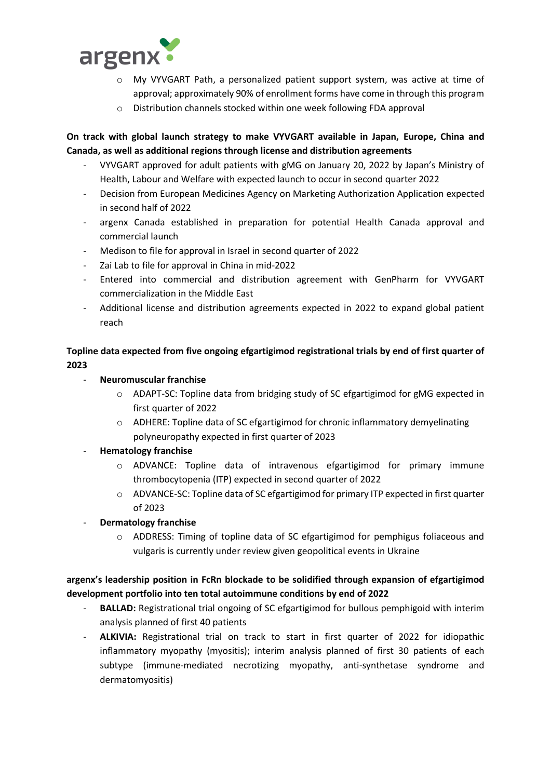

- o My VYVGART Path, a personalized patient support system, was active at time of approval; approximately 90% of enrollment forms have come in through this program
- o Distribution channels stocked within one week following FDA approval

## **On track with global launch strategy to make VYVGART available in Japan, Europe, China and Canada, as well as additional regions through license and distribution agreements**

- VYVGART approved for adult patients with gMG on January 20, 2022 by Japan's Ministry of Health, Labour and Welfare with expected launch to occur in second quarter 2022
- Decision from European Medicines Agency on Marketing Authorization Application expected in second half of 2022
- argenx Canada established in preparation for potential Health Canada approval and commercial launch
- Medison to file for approval in Israel in second quarter of 2022
- Zai Lab to file for approval in China in mid-2022
- Entered into commercial and distribution agreement with GenPharm for VYVGART commercialization in the Middle East
- Additional license and distribution agreements expected in 2022 to expand global patient reach

# **Topline data expected from five ongoing efgartigimod registrational trials by end of first quarter of 2023**

- **Neuromuscular franchise**
	- o ADAPT-SC: Topline data from bridging study of SC efgartigimod for gMG expected in first quarter of 2022
	- o ADHERE: Topline data of SC efgartigimod for chronic inflammatory demyelinating polyneuropathy expected in first quarter of 2023

## - **Hematology franchise**

- $\circ$  ADVANCE: Topline data of intravenous efgartigimod for primary immune thrombocytopenia (ITP) expected in second quarter of 2022
- o ADVANCE-SC: Topline data of SC efgartigimod for primary ITP expected in first quarter of 2023
- **Dermatology franchise** 
	- o ADDRESS: Timing of topline data of SC efgartigimod for pemphigus foliaceous and vulgaris is currently under review given geopolitical events in Ukraine

# **argenx's leadership position in FcRn blockade to be solidified through expansion of efgartigimod development portfolio into ten total autoimmune conditions by end of 2022**

- **BALLAD:** Registrational trial ongoing of SC efgartigimod for bullous pemphigoid with interim analysis planned of first 40 patients
- **ALKIVIA:** Registrational trial on track to start in first quarter of 2022 for idiopathic inflammatory myopathy (myositis); interim analysis planned of first 30 patients of each subtype (immune-mediated necrotizing myopathy, anti-synthetase syndrome and dermatomyositis)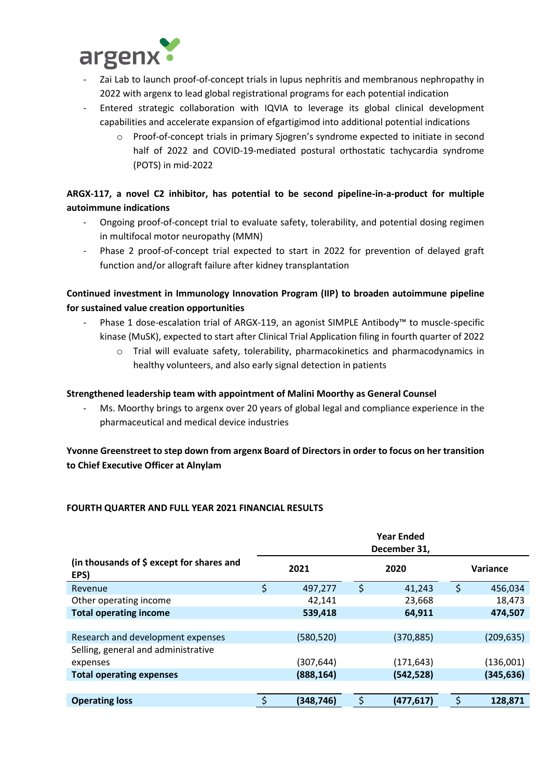

- Zai Lab to launch proof-of-concept trials in lupus nephritis and membranous nephropathy in 2022 with argenx to lead global registrational programs for each potential indication
- Entered strategic collaboration with IQVIA to leverage its global clinical development capabilities and accelerate expansion of efgartigimod into additional potential indications
	- o Proof-of-concept trials in primary Sjogren's syndrome expected to initiate in second half of 2022 and COVID-19-mediated postural orthostatic tachycardia syndrome (POTS) in mid-2022

# **ARGX-117, a novel C2 inhibitor, has potential to be second pipeline-in-a-product for multiple autoimmune indications**

- Ongoing proof-of-concept trial to evaluate safety, tolerability, and potential dosing regimen in multifocal motor neuropathy (MMN)
- Phase 2 proof-of-concept trial expected to start in 2022 for prevention of delayed graft function and/or allograft failure after kidney transplantation

## **Continued investment in Immunology Innovation Program (IIP) to broaden autoimmune pipeline for sustained value creation opportunities**

- Phase 1 dose-escalation trial of ARGX-119, an agonist SIMPLE Antibody™ to muscle-specific kinase (MuSK), expected to start after Clinical Trial Application filing in fourth quarter of 2022
	- o Trial will evaluate safety, tolerability, pharmacokinetics and pharmacodynamics in healthy volunteers, and also early signal detection in patients

## **Strengthened leadership team with appointment of Malini Moorthy as General Counsel**

Ms. Moorthy brings to argenx over 20 years of global legal and compliance experience in the pharmaceutical and medical device industries

# **Yvonne Greenstreet to step down from argenx Board of Directors in order to focus on her transition to Chief Executive Officer at Alnylam**

## **FOURTH QUARTER AND FULL YEAR 2021 FINANCIAL RESULTS**

|                                                              | <b>Year Ended</b><br>December 31, |            |      |            |          |            |
|--------------------------------------------------------------|-----------------------------------|------------|------|------------|----------|------------|
| (in thousands of $\frac{2}{3}$ except for shares and<br>EPS) | 2021                              |            | 2020 |            | Variance |            |
| Revenue                                                      | \$                                | 497,277    | \$   | 41,243     | \$       | 456,034    |
| Other operating income                                       |                                   | 42,141     |      | 23,668     |          | 18,473     |
| <b>Total operating income</b>                                |                                   | 539,418    |      | 64,911     |          | 474,507    |
|                                                              |                                   |            |      |            |          |            |
| Research and development expenses                            |                                   | (580, 520) |      | (370, 885) |          | (209, 635) |
| Selling, general and administrative                          |                                   |            |      |            |          |            |
| expenses                                                     |                                   | (307,644)  |      | (171, 643) |          | (136,001)  |
| <b>Total operating expenses</b>                              |                                   | (888, 164) |      | (542, 528) |          | (345, 636) |
|                                                              |                                   |            |      |            |          |            |
| <b>Operating loss</b>                                        |                                   | (348,746)  |      | (477, 617) |          | 128,871    |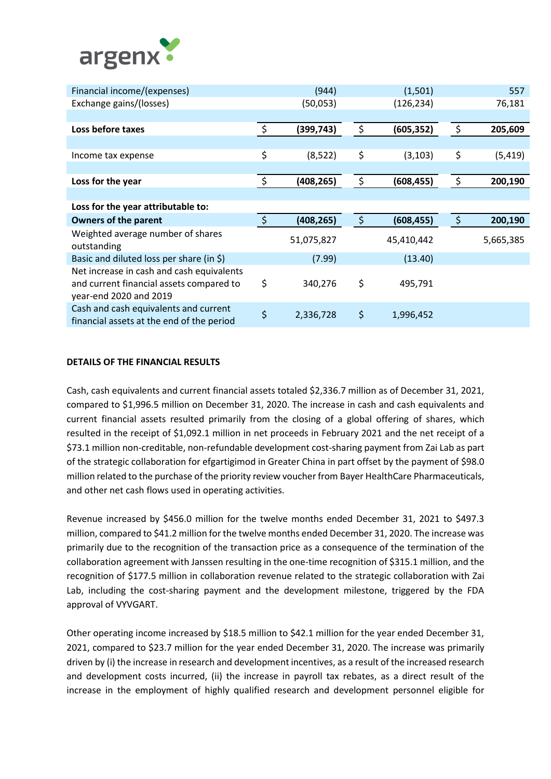

| Financial income/(expenses)                                                                                     |               | (944)      |         | (1,501)    |         | 557       |
|-----------------------------------------------------------------------------------------------------------------|---------------|------------|---------|------------|---------|-----------|
| Exchange gains/(losses)                                                                                         |               | (50,053)   |         | (126, 234) |         | 76,181    |
|                                                                                                                 |               |            |         |            |         |           |
| Loss before taxes                                                                                               | \$            | (399, 743) | \$      | (605, 352) | \$      | 205,609   |
|                                                                                                                 |               |            |         |            |         |           |
| Income tax expense                                                                                              | \$            | (8, 522)   | \$      | (3, 103)   | \$      | (5, 419)  |
|                                                                                                                 |               |            |         |            |         |           |
| Loss for the year                                                                                               | \$            | (408, 265) | \$      | (608, 455) | \$      | 200,190   |
|                                                                                                                 |               |            |         |            |         |           |
| Loss for the year attributable to:                                                                              |               |            |         |            |         |           |
| <b>Owners of the parent</b>                                                                                     | $\ddot{\phi}$ | (408, 265) | $\zeta$ | (608, 455) | $\zeta$ | 200,190   |
| Weighted average number of shares<br>outstanding                                                                |               | 51,075,827 |         | 45,410,442 |         | 5,665,385 |
| Basic and diluted loss per share (in \$)                                                                        |               | (7.99)     |         | (13.40)    |         |           |
| Net increase in cash and cash equivalents<br>and current financial assets compared to<br>year-end 2020 and 2019 | \$            | 340,276    | \$      | 495,791    |         |           |
| Cash and cash equivalents and current<br>financial assets at the end of the period                              | \$            | 2,336,728  | \$      | 1,996,452  |         |           |

### **DETAILS OF THE FINANCIAL RESULTS**

Cash, cash equivalents and current financial assets totaled \$2,336.7 million as of December 31, 2021, compared to \$1,996.5 million on December 31, 2020. The increase in cash and cash equivalents and current financial assets resulted primarily from the closing of a global offering of shares, which resulted in the receipt of \$1,092.1 million in net proceeds in February 2021 and the net receipt of a \$73.1 million non-creditable, non-refundable development cost-sharing payment from Zai Lab as part of the strategic collaboration for efgartigimod in Greater China in part offset by the payment of \$98.0 million related to the purchase of the priority review voucher from Bayer HealthCare Pharmaceuticals, and other net cash flows used in operating activities.

Revenue increased by \$456.0 million for the twelve months ended December 31, 2021 to \$497.3 million, compared to \$41.2 million for the twelve months ended December 31, 2020. The increase was primarily due to the recognition of the transaction price as a consequence of the termination of the collaboration agreement with Janssen resulting in the one-time recognition of \$315.1 million, and the recognition of \$177.5 million in collaboration revenue related to the strategic collaboration with Zai Lab, including the cost-sharing payment and the development milestone, triggered by the FDA approval of VYVGART.

Other operating income increased by \$18.5 million to \$42.1 million for the year ended December 31, 2021, compared to \$23.7 million for the year ended December 31, 2020. The increase was primarily driven by (i) the increase in research and development incentives, as a result of the increased research and development costs incurred, (ii) the increase in payroll tax rebates, as a direct result of the increase in the employment of highly qualified research and development personnel eligible for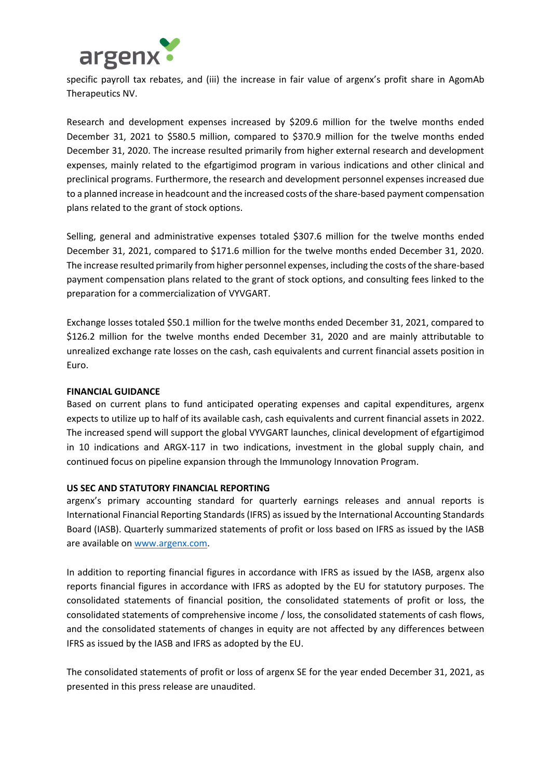

specific payroll tax rebates, and (iii) the increase in fair value of argenx's profit share in AgomAb Therapeutics NV.

Research and development expenses increased by \$209.6 million for the twelve months ended December 31, 2021 to \$580.5 million, compared to \$370.9 million for the twelve months ended December 31, 2020. The increase resulted primarily from higher external research and development expenses, mainly related to the efgartigimod program in various indications and other clinical and preclinical programs. Furthermore, the research and development personnel expenses increased due to a planned increase in headcount and the increased costs of the share-based payment compensation plans related to the grant of stock options.

Selling, general and administrative expenses totaled \$307.6 million for the twelve months ended December 31, 2021, compared to \$171.6 million for the twelve months ended December 31, 2020. The increase resulted primarily from higher personnel expenses, including the costs of the share-based payment compensation plans related to the grant of stock options, and consulting fees linked to the preparation for a commercialization of VYVGART.

Exchange losses totaled \$50.1 million for the twelve months ended December 31, 2021, compared to \$126.2 million for the twelve months ended December 31, 2020 and are mainly attributable to unrealized exchange rate losses on the cash, cash equivalents and current financial assets position in Euro.

### **FINANCIAL GUIDANCE**

Based on current plans to fund anticipated operating expenses and capital expenditures, argenx expects to utilize up to half of its available cash, cash equivalents and current financial assets in 2022. The increased spend will support the global VYVGART launches, clinical development of efgartigimod in 10 indications and ARGX-117 in two indications, investment in the global supply chain, and continued focus on pipeline expansion through the Immunology Innovation Program.

### **US SEC AND STATUTORY FINANCIAL REPORTING**

argenx's primary accounting standard for quarterly earnings releases and annual reports is International Financial Reporting Standards (IFRS) as issued by the International Accounting Standards Board (IASB). Quarterly summarized statements of profit or loss based on IFRS as issued by the IASB are available on [www.argenx.com.](http://www.argenx.com/)

In addition to reporting financial figures in accordance with IFRS as issued by the IASB, argenx also reports financial figures in accordance with IFRS as adopted by the EU for statutory purposes. The consolidated statements of financial position, the consolidated statements of profit or loss, the consolidated statements of comprehensive income / loss, the consolidated statements of cash flows, and the consolidated statements of changes in equity are not affected by any differences between IFRS as issued by the IASB and IFRS as adopted by the EU.

The consolidated statements of profit or loss of argenx SE for the year ended December 31, 2021, as presented in this press release are unaudited.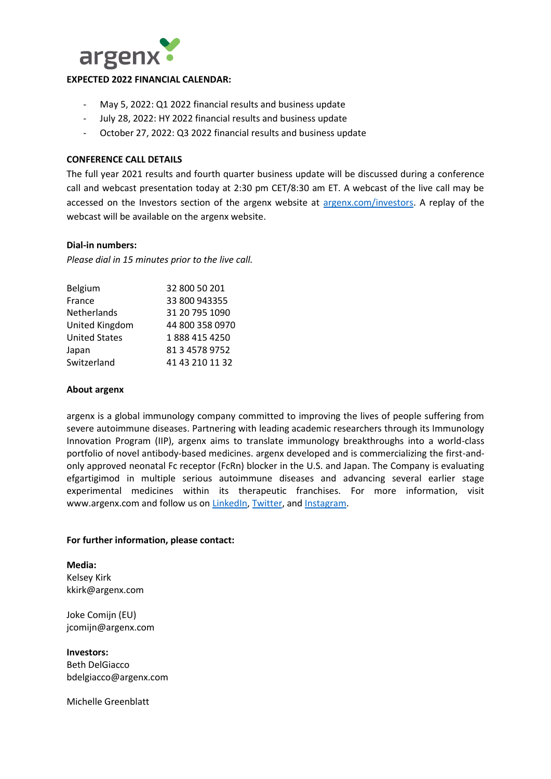

### **EXPECTED 2022 FINANCIAL CALENDAR:**

- May 5, 2022: Q1 2022 financial results and business update
- July 28, 2022: HY 2022 financial results and business update
- October 27, 2022: Q3 2022 financial results and business update

### **CONFERENCE CALL DETAILS**

The full year 2021 results and fourth quarter business update will be discussed during a conference call and webcast presentation today at 2:30 pm CET/8:30 am ET. A webcast of the live call may be accessed on the Investors section of the argenx website at [argenx.com/investors.](file://///0ZA-PVHDFS02.PHMAIN.COM/SIR-NYC/SHARE/SIR%20Clients/argenx/Earnings/2022/YE21/argenx.com/investors) A replay of the webcast will be available on the argenx website.

### **Dial-in numbers:**

*Please dial in 15 minutes prior to the live call.* 

| Belgium              | 32 800 50 201   |
|----------------------|-----------------|
| France               | 33 800 943355   |
| Netherlands          | 31 20 795 1090  |
| United Kingdom       | 44 800 358 0970 |
| <b>United States</b> | 1888 415 4250   |
| Japan                | 81 3 4578 9752  |
| Switzerland          | 41 43 210 11 32 |
|                      |                 |

#### **About argenx**

argenx is a global immunology company committed to improving the lives of people suffering from severe autoimmune diseases. Partnering with leading academic researchers through its Immunology Innovation Program (IIP), argenx aims to translate immunology breakthroughs into a world-class portfolio of novel antibody-based medicines. argenx developed and is commercializing the first-andonly approved neonatal Fc receptor (FcRn) blocker in the U.S. and Japan. The Company is evaluating efgartigimod in multiple serious autoimmune diseases and advancing several earlier stage experimental medicines within its therapeutic franchises. For more information, visit www.argenx.com and follow us on [LinkedIn,](https://www.linkedin.com/company/argenx/) [Twitter,](https://twitter.com/argenxglobal) and [Instagram.](https://www.instagram.com/argenxglobal)

### **For further information, please contact:**

**Media:** Kelsey Kirk kkirk@argenx.com

Joke Comiin (EU) jcomijn@argenx.com

**Investors:** Beth DelGiacco bdelgiacco@argenx.com

Michelle Greenblatt